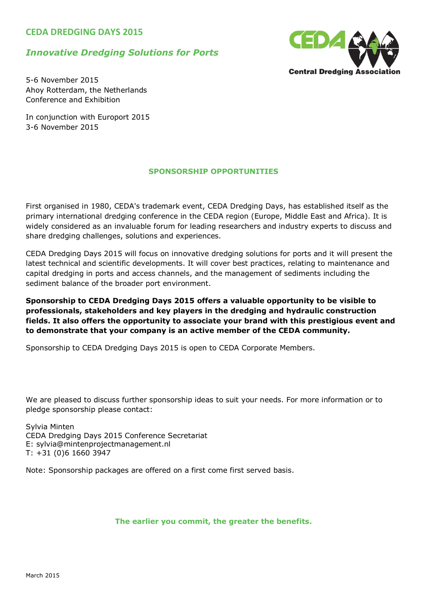### **CEDA DREDGING DAYS 2015**

### *Innovative Dredging Solutions for Ports*



5-6 November 2015 Ahoy Rotterdam, the Netherlands Conference and Exhibition

In conjunction with Europort 2015 3-6 November 2015

### **SPONSORSHIP OPPORTUNITIES**

First organised in 1980, CEDA's trademark event, CEDA Dredging Days, has established itself as the primary international dredging conference in the CEDA region (Europe, Middle East and Africa). It is widely considered as an invaluable forum for leading researchers and industry experts to discuss and share dredging challenges, solutions and experiences.

CEDA Dredging Days 2015 will focus on innovative dredging solutions for ports and it will present the latest technical and scientific developments. It will cover best practices, relating to maintenance and capital dredging in ports and access channels, and the management of sediments including the sediment balance of the broader port environment.

**Sponsorship to CEDA Dredging Days 2015 offers a valuable opportunity to be visible to professionals, stakeholders and key players in the dredging and hydraulic construction fields. It also offers the opportunity to associate your brand with this prestigious event and to demonstrate that your company is an active member of the CEDA community.**

Sponsorship to CEDA Dredging Days 2015 is open to CEDA Corporate Members.

We are pleased to discuss further sponsorship ideas to suit your needs. For more information or to pledge sponsorship please contact:

Sylvia Minten CEDA Dredging Days 2015 Conference Secretariat E: sylvia@mintenprojectmanagement.nl T: +31 (0)6 1660 3947

Note: Sponsorship packages are offered on a first come first served basis.

### **The earlier you commit, the greater the benefits.**